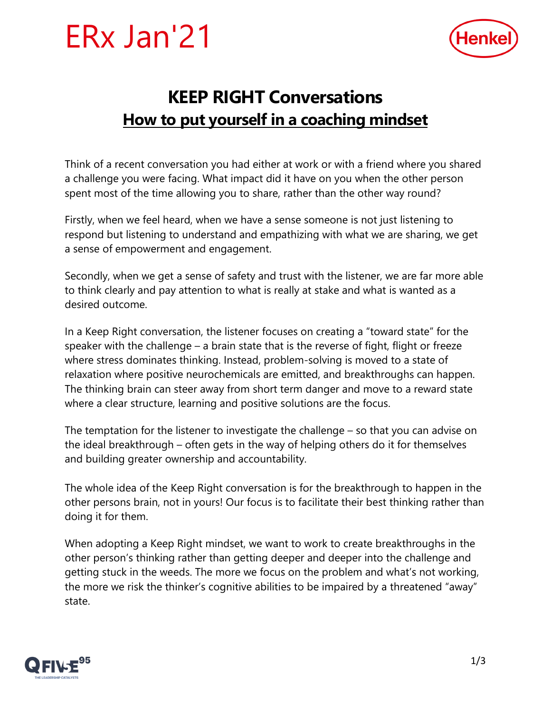



## **KEEP RIGHT Conversations How to put yourself in a coaching mindset**

Think of a recent conversation you had either at work or with a friend where you shared a challenge you were facing. What impact did it have on you when the other person spent most of the time allowing you to share, rather than the other way round?

Firstly, when we feel heard, when we have a sense someone is not just listening to respond but listening to understand and empathizing with what we are sharing, we get a sense of empowerment and engagement.

Secondly, when we get a sense of safety and trust with the listener, we are far more able to think clearly and pay attention to what is really at stake and what is wanted as a desired outcome.

In a Keep Right conversation, the listener focuses on creating a "toward state" for the speaker with the challenge – a brain state that is the reverse of fight, flight or freeze where stress dominates thinking. Instead, problem-solving is moved to a state of relaxation where positive neurochemicals are emitted, and breakthroughs can happen. The thinking brain can steer away from short term danger and move to a reward state where a clear structure, learning and positive solutions are the focus.

The temptation for the listener to investigate the challenge – so that you can advise on the ideal breakthrough – often gets in the way of helping others do it for themselves and building greater ownership and accountability.

The whole idea of the Keep Right conversation is for the breakthrough to happen in the other persons brain, not in yours! Our focus is to facilitate their best thinking rather than doing it for them.

When adopting a Keep Right mindset, we want to work to create breakthroughs in the other person's thinking rather than getting deeper and deeper into the challenge and getting stuck in the weeds. The more we focus on the problem and what's not working, the more we risk the thinker's cognitive abilities to be impaired by a threatened "away" state.

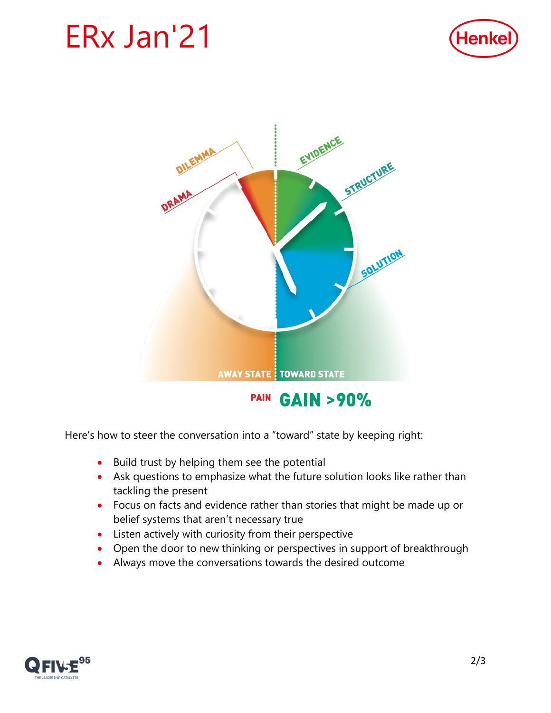## ERx Jan'21





**PAIN GAIN >90%** 

Here's how to steer the conversation into a "toward" state by keeping right:

- Build trust by helping them see the potential
- Ask questions to emphasize what the future solution looks like rather than tackling the present
- Focus on facts and evidence rather than stories that might be made up or belief systems that aren't necessary true
- Listen actively with curiosity from their perspective
- Open the door to new thinking or perspectives in support of breakthrough
- Always move the conversations towards the desired outcome